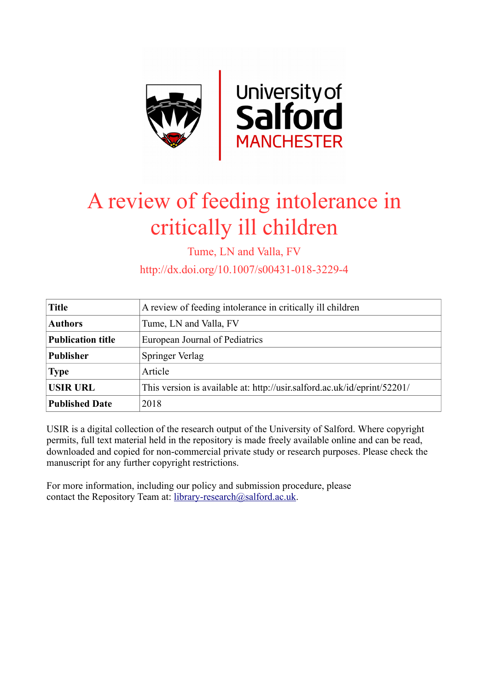

# A review of feeding intolerance in critically ill children

Tume, LN and Valla, FV

http://dx.doi.org/10.1007/s00431-018-3229-4

| <b>Title</b>             | A review of feeding intolerance in critically ill children               |  |
|--------------------------|--------------------------------------------------------------------------|--|
| <b>Authors</b>           | Tume, LN and Valla, FV                                                   |  |
| <b>Publication title</b> | European Journal of Pediatrics                                           |  |
| <b>Publisher</b>         | Springer Verlag                                                          |  |
| <b>Type</b>              | Article                                                                  |  |
| <b>USIR URL</b>          | This version is available at: http://usir.salford.ac.uk/id/eprint/52201/ |  |
| <b>Published Date</b>    | 2018                                                                     |  |

USIR is a digital collection of the research output of the University of Salford. Where copyright permits, full text material held in the repository is made freely available online and can be read, downloaded and copied for non-commercial private study or research purposes. Please check the manuscript for any further copyright restrictions.

For more information, including our policy and submission procedure, please contact the Repository Team at: [library-research@salford.ac.uk.](mailto:library-research@salford.ac.uk)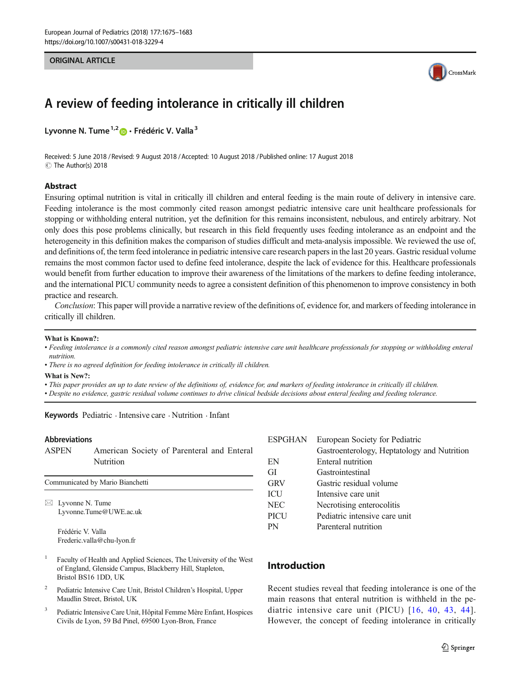#### ORIGINAL ARTICLE



# A review of feeding intolerance in critically ill children

Lyvonne N. Tume<sup>1,2</sup>  $\bullet$  · Frédéric V. Valla<sup>3</sup>

Received: 5 June 2018 / Revised: 9 August 2018 /Accepted: 10 August 2018 /Published online: 17 August 2018 C The Author(s) 2018

#### Abstract

Ensuring optimal nutrition is vital in critically ill children and enteral feeding is the main route of delivery in intensive care. Feeding intolerance is the most commonly cited reason amongst pediatric intensive care unit healthcare professionals for stopping or withholding enteral nutrition, yet the definition for this remains inconsistent, nebulous, and entirely arbitrary. Not only does this pose problems clinically, but research in this field frequently uses feeding intolerance as an endpoint and the heterogeneity in this definition makes the comparison of studies difficult and meta-analysis impossible. We reviewed the use of, and definitions of, the term feed intolerance in pediatric intensive care research papers in the last 20 years. Gastric residual volume remains the most common factor used to define feed intolerance, despite the lack of evidence for this. Healthcare professionals would benefit from further education to improve their awareness of the limitations of the markers to define feeding intolerance, and the international PICU community needs to agree a consistent definition of this phenomenon to improve consistency in both practice and research.

Conclusion: This paper will provide a narrative review of the definitions of, evidence for, and markers of feeding intolerance in critically ill children.

#### What is Known?:

- Feeding intolerance is a commonly cited reason amongst pediatric intensive care unit healthcare professionals for stopping or withholding enteral nutrition.
- There is no agreed definition for feeding intolerance in critically ill children.

#### What is New?:

• This paper provides an up to date review of the definitions of, evidence for, and markers of feeding intolerance in critically ill children.

• Despite no evidence, gastric residual volume continues to drive clinical bedside decisions about enteral feeding and feeding tolerance.

Keywords Pediatric . Intensive care . Nutrition . Infant

#### Abbreviations

ASPEN American Society of Parenteral and Enteral Nutrition

| Communicated by Mario Bianchetti |  |
|----------------------------------|--|
|----------------------------------|--|

 $\boxtimes$  Lyvonne N. Tume [Lyvonne.Tume@UWE.ac.uk](mailto:Lyvonne.Tume@UWE.ac.uk)

> Frédéric V. Valla Frederic.valla@chu-lyon.fr

- <sup>1</sup> Faculty of Health and Applied Sciences, The University of the West of England, Glenside Campus, Blackberry Hill, Stapleton, Bristol BS16 1DD, UK
- <sup>2</sup> Pediatric Intensive Care Unit, Bristol Children's Hospital, Upper Maudlin Street, Bristol, UK
- <sup>3</sup> Pediatric Intensive Care Unit, Hôpital Femme Mère Enfant, Hospices Civils de Lyon, 59 Bd Pinel, 69500 Lyon-Bron, France

| <b>ESPGHAN</b> | European Society for Pediatric              |  |  |
|----------------|---------------------------------------------|--|--|
|                | Gastroenterology, Heptatology and Nutrition |  |  |
| EN             | Enteral nutrition                           |  |  |
| GI             | Gastrointestinal                            |  |  |
| <b>GRV</b>     | Gastric residual volume                     |  |  |
| <b>ICU</b>     | Intensive care unit                         |  |  |
| <b>NEC</b>     | Necrotising enterocolitis                   |  |  |
| <b>PICU</b>    | Pediatric intensive care unit               |  |  |
| <b>PN</b>      | Parenteral nutrition                        |  |  |

# Introduction

Recent studies reveal that feeding intolerance is one of the main reasons that enteral nutrition is withheld in the pediatric intensive care unit (PICU) [[16](#page-8-0), [40](#page-8-0), [43](#page-8-0), [44](#page-8-0)]. However, the concept of feeding intolerance in critically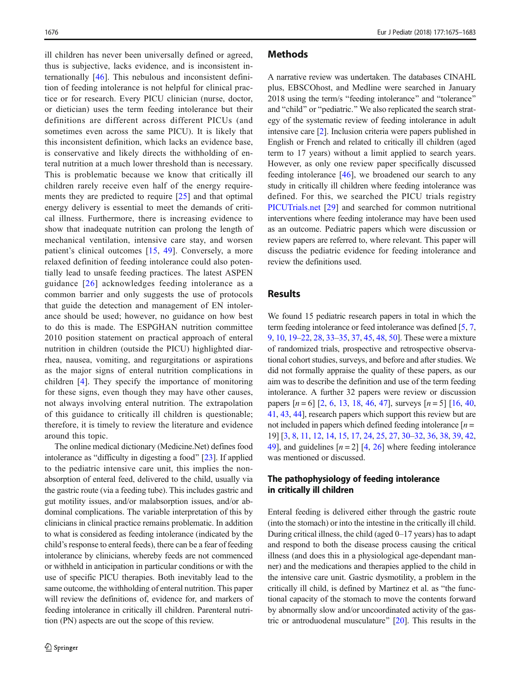ill children has never been universally defined or agreed, thus is subjective, lacks evidence, and is inconsistent internationally [\[46](#page-9-0)]. This nebulous and inconsistent definition of feeding intolerance is not helpful for clinical practice or for research. Every PICU clinician (nurse, doctor, or dietician) uses the term feeding intolerance but their definitions are different across different PICUs (and sometimes even across the same PICU). It is likely that this inconsistent definition, which lacks an evidence base, is conservative and likely directs the withholding of enteral nutrition at a much lower threshold than is necessary. This is problematic because we know that critically ill children rarely receive even half of the energy requirements they are predicted to require [\[25](#page-8-0)] and that optimal energy delivery is essential to meet the demands of critical illness. Furthermore, there is increasing evidence to show that inadequate nutrition can prolong the length of mechanical ventilation, intensive care stay, and worsen patient's clinical outcomes [[15](#page-8-0), [49](#page-9-0)]. Conversely, a more relaxed definition of feeding intolerance could also potentially lead to unsafe feeding practices. The latest ASPEN guidance [[26\]](#page-8-0) acknowledges feeding intolerance as a common barrier and only suggests the use of protocols that guide the detection and management of EN intolerance should be used; however, no guidance on how best to do this is made. The ESPGHAN nutrition committee 2010 position statement on practical approach of enteral nutrition in children (outside the PICU) highlighted diarrhea, nausea, vomiting, and regurgitations or aspirations as the major signs of enteral nutrition complications in children [[4\]](#page-7-0). They specify the importance of monitoring for these signs, even though they may have other causes, not always involving enteral nutrition. The extrapolation of this guidance to critically ill children is questionable; therefore, it is timely to review the literature and evidence around this topic.

The online medical dictionary (Medicine.Net) defines food intolerance as "difficulty in digesting a food"  $[23]$  $[23]$  $[23]$ . If applied to the pediatric intensive care unit, this implies the nonabsorption of enteral feed, delivered to the child, usually via the gastric route (via a feeding tube). This includes gastric and gut motility issues, and/or malabsorption issues, and/or abdominal complications. The variable interpretation of this by clinicians in clinical practice remains problematic. In addition to what is considered as feeding intolerance (indicated by the child's response to enteral feeds), there can be a fear of feeding intolerance by clinicians, whereby feeds are not commenced or withheld in anticipation in particular conditions or with the use of specific PICU therapies. Both inevitably lead to the same outcome, the withholding of enteral nutrition. This paper will review the definitions of, evidence for, and markers of feeding intolerance in critically ill children. Parenteral nutrition (PN) aspects are out the scope of this review.

#### **Methods**

A narrative review was undertaken. The databases CINAHL plus, EBSCOhost, and Medline were searched in January 2018 using the term/s "feeding intolerance" and "tolerance" and "child" or "pediatric." We also replicated the search strategy of the systematic review of feeding intolerance in adult intensive care [\[2](#page-7-0)]. Inclusion criteria were papers published in English or French and related to critically ill children (aged term to 17 years) without a limit applied to search years. However, as only one review paper specifically discussed feeding intolerance [\[46](#page-9-0)], we broadened our search to any study in critically ill children where feeding intolerance was defined. For this, we searched the PICU trials registry [PICUTrials.net](http://picutrials.net) [[29\]](#page-8-0) and searched for common nutritional interventions where feeding intolerance may have been used as an outcome. Pediatric papers which were discussion or review papers are referred to, where relevant. This paper will discuss the pediatric evidence for feeding intolerance and review the definitions used.

# Results

We found 15 pediatric research papers in total in which the term feeding intolerance or feed intolerance was defined [\[5](#page-7-0), [7,](#page-7-0) [9](#page-8-0), [10](#page-8-0), [19](#page-8-0)–[22](#page-8-0), [28](#page-8-0), [33](#page-8-0)–[35](#page-8-0), [37,](#page-8-0) [45,](#page-9-0) [48](#page-9-0), [50](#page-9-0)]. These were a mixture of randomized trials, prospective and retrospective observational cohort studies, surveys, and before and after studies. We did not formally appraise the quality of these papers, as our aim was to describe the definition and use of the term feeding intolerance. A further 32 papers were review or discussion papers  $[n = 6]$  [\[2](#page-7-0), [6,](#page-7-0) [13](#page-8-0), [18](#page-8-0), [46,](#page-9-0) [47](#page-9-0)], surveys  $[n = 5]$  [[16](#page-8-0), [40,](#page-8-0) [41,](#page-8-0) [43,](#page-8-0) [44](#page-8-0)], research papers which support this review but are not included in papers which defined feeding intolerance  $[n =$ 19] [[3](#page-7-0), [8,](#page-7-0) [11](#page-8-0), [12,](#page-8-0) [14](#page-8-0), [15,](#page-8-0) [17](#page-8-0), [24,](#page-8-0) [25](#page-8-0), [27,](#page-8-0) [30](#page-8-0)–[32,](#page-8-0) [36](#page-8-0), [38,](#page-8-0) [39](#page-8-0), [42,](#page-8-0) [49\]](#page-9-0), and guidelines  $[n = 2]$  [\[4](#page-7-0), [26](#page-8-0)] where feeding intolerance was mentioned or discussed.

# The pathophysiology of feeding intolerance in critically ill children

Enteral feeding is delivered either through the gastric route (into the stomach) or into the intestine in the critically ill child. During critical illness, the child (aged 0–17 years) has to adapt and respond to both the disease process causing the critical illness (and does this in a physiological age-dependant manner) and the medications and therapies applied to the child in the intensive care unit. Gastric dysmotility, a problem in the critically ill child, is defined by Martinez et al. as "the functional capacity of the stomach to move the contents forward by abnormally slow and/or uncoordinated activity of the gastric or antroduodenal musculature"  $[20]$  $[20]$ . This results in the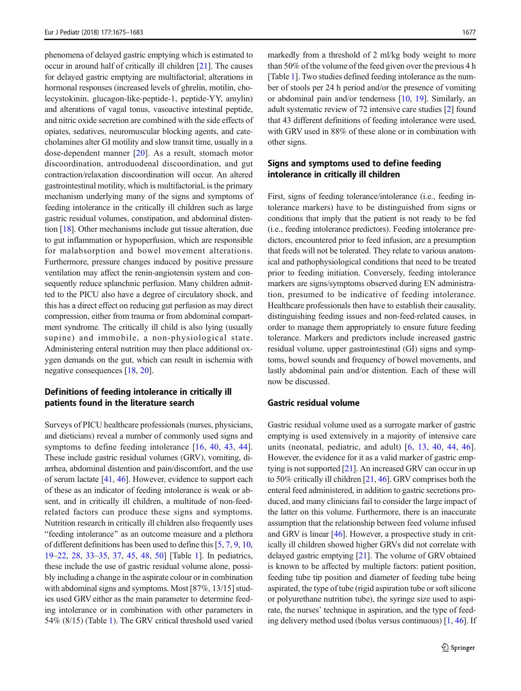phenomena of delayed gastric emptying which is estimated to occur in around half of critically ill children [\[21\]](#page-8-0). The causes for delayed gastric emptying are multifactorial; alterations in hormonal responses (increased levels of ghrelin, motilin, cholecystokinin, glucagon-like-peptide-1, peptide-YY, amylin) and alterations of vagal tonus, vasoactive intestinal peptide, and nitric oxide secretion are combined with the side effects of opiates, sedatives, neuromuscular blocking agents, and catecholamines alter GI motility and slow transit time, usually in a dose-dependent manner [[20\]](#page-8-0). As a result, stomach motor discoordination, antroduodenal discoordination, and gut contraction/relaxation discoordination will occur. An altered gastrointestinal motility, which is multifactorial, is the primary mechanism underlying many of the signs and symptoms of feeding intolerance in the critically ill children such as large gastric residual volumes, constipation, and abdominal distention [[18](#page-8-0)]. Other mechanisms include gut tissue alteration, due to gut inflammation or hypoperfusion, which are responsible for malabsorption and bowel movement alterations. Furthermore, pressure changes induced by positive pressure ventilation may affect the renin-angiotensin system and consequently reduce splanchnic perfusion. Many children admitted to the PICU also have a degree of circulatory shock, and this has a direct effect on reducing gut perfusion as may direct compression, either from trauma or from abdominal compartment syndrome. The critically ill child is also lying (usually supine) and immobile, a non-physiological state. Administering enteral nutrition may then place additional oxygen demands on the gut, which can result in ischemia with negative consequences [[18](#page-8-0), [20](#page-8-0)].

# Definitions of feeding intolerance in critically ill patients found in the literature search

Surveys of PICU healthcare professionals (nurses, physicians, and dieticians) reveal a number of commonly used signs and symptoms to define feeding intolerance [\[16](#page-8-0), [40](#page-8-0), [43,](#page-8-0) [44](#page-8-0)]. These include gastric residual volumes (GRV), vomiting, diarrhea, abdominal distention and pain/discomfort, and the use of serum lactate [[41,](#page-8-0) [46\]](#page-9-0). However, evidence to support each of these as an indicator of feeding intolerance is weak or absent, and in critically ill children, a multitude of non-feedrelated factors can produce these signs and symptoms. Nutrition research in critically ill children also frequently uses "feeding intolerance" as an outcome measure and a plethora of different definitions has been used to define this [\[5,](#page-7-0) [7](#page-7-0), [9](#page-8-0), [10,](#page-8-0) [19](#page-8-0)–[22,](#page-8-0) [28,](#page-8-0) [33](#page-8-0)–[35,](#page-8-0) [37,](#page-8-0) [45,](#page-9-0) [48](#page-9-0), [50](#page-9-0)] [Table [1\]](#page-4-0). In pediatrics, these include the use of gastric residual volume alone, possibly including a change in the aspirate colour or in combination with abdominal signs and symptoms. Most [87%, 13/15] studies used GRV either as the main parameter to determine feeding intolerance or in combination with other parameters in 54% (8/15) (Table [1](#page-4-0)). The GRV critical threshold used varied markedly from a threshold of 2 ml/kg body weight to more than 50% of the volume of the feed given over the previous 4 h [Table [1\]](#page-4-0). Two studies defined feeding intolerance as the number of stools per 24 h period and/or the presence of vomiting or abdominal pain and/or tenderness [[10,](#page-8-0) [19\]](#page-8-0). Similarly, an adult systematic review of 72 intensive care studies [\[2\]](#page-7-0) found that 43 different definitions of feeding intolerance were used, with GRV used in 88% of these alone or in combination with other signs.

# Signs and symptoms used to define feeding intolerance in critically ill children

First, signs of feeding tolerance/intolerance (i.e., feeding intolerance markers) have to be distinguished from signs or conditions that imply that the patient is not ready to be fed (i.e., feeding intolerance predictors). Feeding intolerance predictors, encountered prior to feed infusion, are a presumption that feeds will not be tolerated. They relate to various anatomical and pathophysiological conditions that need to be treated prior to feeding initiation. Conversely, feeding intolerance markers are signs/symptoms observed during EN administration, presumed to be indicative of feeding intolerance. Healthcare professionals then have to establish their causality, distinguishing feeding issues and non-feed-related causes, in order to manage them appropriately to ensure future feeding tolerance. Markers and predictors include increased gastric residual volume, upper gastrointestinal (GI) signs and symptoms, bowel sounds and frequency of bowel movements, and lastly abdominal pain and/or distention. Each of these will now be discussed.

#### Gastric residual volume

Gastric residual volume used as a surrogate marker of gastric emptying is used extensively in a majority of intensive care units (neonatal, pediatric, and adult) [[6](#page-7-0), [13](#page-8-0), [40,](#page-8-0) [44,](#page-8-0) [46](#page-9-0)]. However, the evidence for it as a valid marker of gastric emptying is not supported [\[21\]](#page-8-0). An increased GRV can occur in up to 50% critically ill children [\[21,](#page-8-0) [46](#page-9-0)]. GRV comprises both the enteral feed administered, in addition to gastric secretions produced, and many clinicians fail to consider the large impact of the latter on this volume. Furthermore, there is an inaccurate assumption that the relationship between feed volume infused and GRV is linear [[46\]](#page-9-0). However, a prospective study in critically ill children showed higher GRVs did not correlate with delayed gastric emptying [\[21\]](#page-8-0). The volume of GRV obtained is known to be affected by multiple factors: patient position, feeding tube tip position and diameter of feeding tube being aspirated, the type of tube (rigid aspiration tube or soft silicone or polyurethane nutrition tube), the syringe size used to aspirate, the nurses' technique in aspiration, and the type of feeding delivery method used (bolus versus continuous) [[1,](#page-7-0) [46](#page-9-0)]. If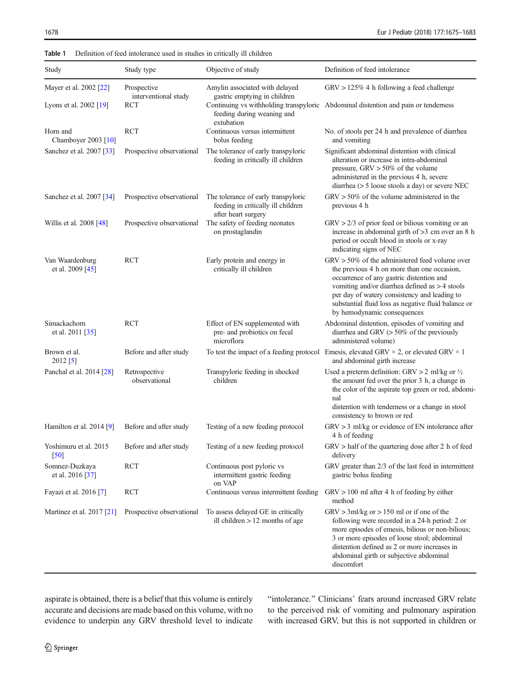| Study                                | Study type                          | Objective of study                                                                               | Definition of feed intolerance                                                                                                                                                                                                                                                                                                       |
|--------------------------------------|-------------------------------------|--------------------------------------------------------------------------------------------------|--------------------------------------------------------------------------------------------------------------------------------------------------------------------------------------------------------------------------------------------------------------------------------------------------------------------------------------|
| Mayer et al. 2002 [22]               | Prospective<br>interventional study | Amylin associated with delayed<br>gastric emptying in children                                   | $GRV > 125\%$ 4 h following a feed challenge                                                                                                                                                                                                                                                                                         |
| Lyons et al. 2002 [19]               | <b>RCT</b>                          | feeding during weaning and<br>extubation                                                         | Continuing vs withholding transpyloric Abdominal distention and pain or tenderness                                                                                                                                                                                                                                                   |
| Horn and<br>Chamboyer 2003 [10]      | <b>RCT</b>                          | Continuous versus intermittent<br>bolus feeding                                                  | No. of stools per 24 h and prevalence of diarrhea<br>and vomiting                                                                                                                                                                                                                                                                    |
| Sanchez et al. 2007 [33]             | Prospective observational           | The tolerance of early transpyloric<br>feeding in critically ill children                        | Significant abdominal distention with clinical<br>alteration or increase in intra-abdominal<br>pressure, $GRV > 50\%$ of the volume<br>administered in the previous 4 h, severe<br>diarrhea ( $>$ 5 loose stools a day) or severe NEC                                                                                                |
| Sanchez et al. 2007 [34]             | Prospective observational           | The tolerance of early transpyloric<br>feeding in critically ill children<br>after heart surgery | $GRV > 50\%$ of the volume administered in the<br>previous 4 h                                                                                                                                                                                                                                                                       |
| Willis et al. 2008 [48]              | Prospective observational           | The safety of feeding neonates<br>on prostaglandin                                               | $GRV > 2/3$ of prior feed or bilious vomiting or an<br>increase in abdominal girth of >3 cm over an 8 h<br>period or occult blood in stools or x-ray<br>indicating signs of NEC                                                                                                                                                      |
| Van Waardenburg<br>et al. 2009 [45]  | <b>RCT</b>                          | Early protein and energy in<br>critically ill children                                           | $GRV > 50\%$ of the administered feed volume over<br>the previous 4 h on more than one occasion,<br>occurrence of any gastric distention and<br>vomiting and/or diarrhea defined as > 4 stools<br>per day of watery consistency and leading to<br>substantial fluid loss as negative fluid balance or<br>by hemodynamic consequences |
| Simackachorn<br>et al. 2011 [ $35$ ] | <b>RCT</b>                          | Effect of EN supplemented with<br>pre- and probiotics on fecal<br>microflora                     | Abdominal distention, episodes of vomiting and<br>diarrhea and GRV $(> 50\%$ of the previously<br>administered volume)                                                                                                                                                                                                               |
| Brown et al.<br>$2012$ [5]           | Before and after study              |                                                                                                  | To test the impact of a feeding protocol Emesis, elevated GRV $\times$ 2, or elevated GRV $\times$ 1<br>and abdominal girth increase                                                                                                                                                                                                 |
| Panchal et al. 2014 [28]             | Retrospective<br>observational      | Transpyloric feeding in shocked<br>children                                                      | Used a preterm definition: GRV > 2 ml/kg or $\frac{1}{2}$<br>the amount fed over the prior 3 h, a change in<br>the color of the aspirate top green or red, abdomi-<br>nal<br>distention with tenderness or a change in stool                                                                                                         |
| Hamilton et al. 2014 [9]             | Before and after study              | Testing of a new feeding protocol                                                                | consistency to brown or red<br>$GRV > 3$ ml/kg or evidence of EN intolerance after                                                                                                                                                                                                                                                   |
|                                      |                                     |                                                                                                  | 4 h of feeding                                                                                                                                                                                                                                                                                                                       |
| Yoshimuru et al. 2015<br>$[50]$      | Before and after study              | Testing of a new feeding protocol                                                                | GRV > half of the quartering dose after 2 h of feed<br>delivery                                                                                                                                                                                                                                                                      |
| Somnez-Duzkaya<br>et al. 2016 [37]   | <b>RCT</b>                          | Continuous post pyloric vs<br>intermittent gastric feeding<br>on VAP                             | GRV greater than 2/3 of the last feed in intermittent<br>gastric bolus feeding                                                                                                                                                                                                                                                       |
| Fayazi et al. 2016 [7]               | RCT                                 | Continuous versus intermittent feeding                                                           | $GRV > 100$ ml after 4 h of feeding by either<br>method                                                                                                                                                                                                                                                                              |
| Martinez et al. 2017 [21]            | Prospective observational           | To assess delayed GE in critically<br>ill children $> 12$ months of age                          | $GRV > 3ml/kg$ or $> 150$ ml or if one of the<br>following were recorded in a 24-h period: 2 or<br>more episodes of emesis, bilious or non-bilious;<br>3 or more episodes of loose stool; abdominal<br>distention defined as 2 or more increases in<br>abdominal girth or subjective abdominal<br>discomfort                         |

<span id="page-4-0"></span>Table 1 Definition of feed intolerance used in studies in critically ill children

aspirate is obtained, there is a belief that this volume is entirely accurate and decisions are made based on this volume, with no evidence to underpin any GRV threshold level to indicate "intolerance." Clinicians' fears around increased GRV relate to the perceived risk of vomiting and pulmonary aspiration with increased GRV, but this is not supported in children or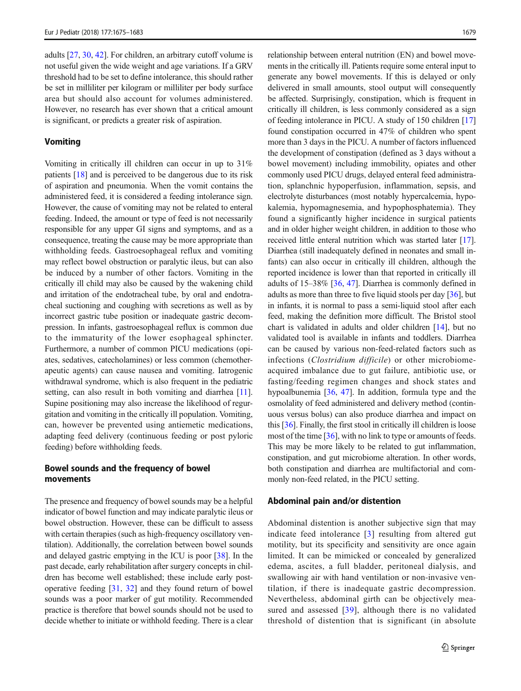adults [[27](#page-8-0), [30](#page-8-0), [42\]](#page-8-0). For children, an arbitrary cutoff volume is not useful given the wide weight and age variations. If a GRV threshold had to be set to define intolerance, this should rather be set in milliliter per kilogram or milliliter per body surface area but should also account for volumes administered. However, no research has ever shown that a critical amount is significant, or predicts a greater risk of aspiration.

#### Vomiting

Vomiting in critically ill children can occur in up to 31% patients [\[18\]](#page-8-0) and is perceived to be dangerous due to its risk of aspiration and pneumonia. When the vomit contains the administered feed, it is considered a feeding intolerance sign. However, the cause of vomiting may not be related to enteral feeding. Indeed, the amount or type of feed is not necessarily responsible for any upper GI signs and symptoms, and as a consequence, treating the cause may be more appropriate than withholding feeds. Gastroesophageal reflux and vomiting may reflect bowel obstruction or paralytic ileus, but can also be induced by a number of other factors. Vomiting in the critically ill child may also be caused by the wakening child and irritation of the endotracheal tube, by oral and endotracheal suctioning and coughing with secretions as well as by incorrect gastric tube position or inadequate gastric decompression. In infants, gastroesophageal reflux is common due to the immaturity of the lower esophageal sphincter. Furthermore, a number of common PICU medications (opiates, sedatives, catecholamines) or less common (chemotherapeutic agents) can cause nausea and vomiting. Iatrogenic withdrawal syndrome, which is also frequent in the pediatric setting, can also result in both vomiting and diarrhea [[11](#page-8-0)]. Supine positioning may also increase the likelihood of regurgitation and vomiting in the critically ill population. Vomiting, can, however be prevented using antiemetic medications, adapting feed delivery (continuous feeding or post pyloric feeding) before withholding feeds.

# Bowel sounds and the frequency of bowel movements

The presence and frequency of bowel sounds may be a helpful indicator of bowel function and may indicate paralytic ileus or bowel obstruction. However, these can be difficult to assess with certain therapies (such as high-frequency oscillatory ventilation). Additionally, the correlation between bowel sounds and delayed gastric emptying in the ICU is poor [[38\]](#page-8-0). In the past decade, early rehabilitation after surgery concepts in children has become well established; these include early postoperative feeding [[31](#page-8-0), [32\]](#page-8-0) and they found return of bowel sounds was a poor marker of gut motility. Recommended practice is therefore that bowel sounds should not be used to decide whether to initiate or withhold feeding. There is a clear relationship between enteral nutrition (EN) and bowel movements in the critically ill. Patients require some enteral input to generate any bowel movements. If this is delayed or only delivered in small amounts, stool output will consequently be affected. Surprisingly, constipation, which is frequent in critically ill children, is less commonly considered as a sign of feeding intolerance in PICU. A study of 150 children [\[17](#page-8-0)] found constipation occurred in 47% of children who spent more than 3 days in the PICU. A number of factors influenced the development of constipation (defined as 3 days without a bowel movement) including immobility, opiates and other commonly used PICU drugs, delayed enteral feed administration, splanchnic hypoperfusion, inflammation, sepsis, and electrolyte disturbances (most notably hypercalcemia, hypokalemia, hypomagnesemia, and hypophosphatemia). They found a significantly higher incidence in surgical patients and in older higher weight children, in addition to those who received little enteral nutrition which was started later [[17\]](#page-8-0). Diarrhea (still inadequately defined in neonates and small infants) can also occur in critically ill children, although the reported incidence is lower than that reported in critically ill adults of 15–38% [\[36](#page-8-0), [47](#page-9-0)]. Diarrhea is commonly defined in adults as more than three to five liquid stools per day [\[36\]](#page-8-0), but in infants, it is normal to pass a semi-liquid stool after each feed, making the definition more difficult. The Bristol stool chart is validated in adults and older children [[14\]](#page-8-0), but no validated tool is available in infants and toddlers. Diarrhea can be caused by various non-feed-related factors such as infections (Clostridium difficile) or other microbiomeacquired imbalance due to gut failure, antibiotic use, or fasting/feeding regimen changes and shock states and hypoalbunemia [[36,](#page-8-0) [47\]](#page-9-0). In addition, formula type and the osmolality of feed administered and delivery method (continuous versus bolus) can also produce diarrhea and impact on this [\[36](#page-8-0)]. Finally, the first stool in critically ill children is loose most of the time [\[36\]](#page-8-0), with no link to type or amounts of feeds. This may be more likely to be related to gut inflammation, constipation, and gut microbiome alteration. In other words, both constipation and diarrhea are multifactorial and commonly non-feed related, in the PICU setting.

#### Abdominal pain and/or distention

Abdominal distention is another subjective sign that may indicate feed intolerance [[3](#page-7-0)] resulting from altered gut motility, but its specificity and sensitivity are once again limited. It can be mimicked or concealed by generalized edema, ascites, a full bladder, peritoneal dialysis, and swallowing air with hand ventilation or non-invasive ventilation, if there is inadequate gastric decompression. Nevertheless, abdominal girth can be objectively mea-sured and assessed [[39\]](#page-8-0), although there is no validated threshold of distention that is significant (in absolute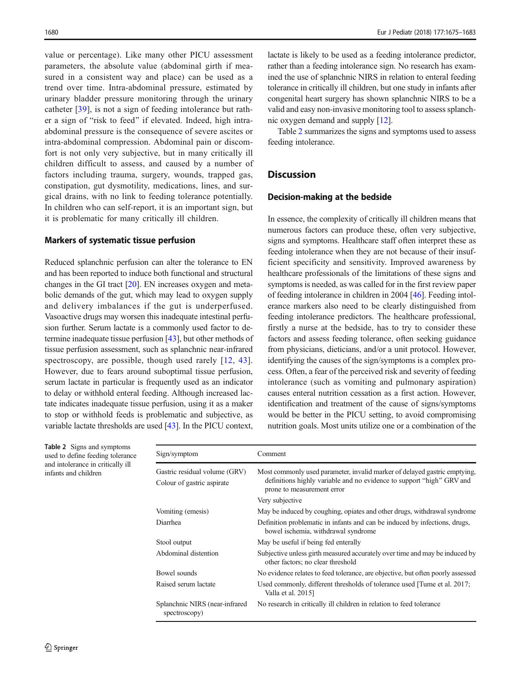value or percentage). Like many other PICU assessment parameters, the absolute value (abdominal girth if measured in a consistent way and place) can be used as a trend over time. Intra-abdominal pressure, estimated by urinary bladder pressure monitoring through the urinary catheter [\[39](#page-8-0)], is not a sign of feeding intolerance but rather a sign of "risk to feed" if elevated. Indeed, high intraabdominal pressure is the consequence of severe ascites or intra-abdominal compression. Abdominal pain or discomfort is not only very subjective, but in many critically ill children difficult to assess, and caused by a number of factors including trauma, surgery, wounds, trapped gas, constipation, gut dysmotility, medications, lines, and surgical drains, with no link to feeding tolerance potentially. In children who can self-report, it is an important sign, but it is problematic for many critically ill children.

# Markers of systematic tissue perfusion

Reduced splanchnic perfusion can alter the tolerance to EN and has been reported to induce both functional and structural changes in the GI tract [\[20](#page-8-0)]. EN increases oxygen and metabolic demands of the gut, which may lead to oxygen supply and delivery imbalances if the gut is underperfused. Vasoactive drugs may worsen this inadequate intestinal perfusion further. Serum lactate is a commonly used factor to determine inadequate tissue perfusion [\[43\]](#page-8-0), but other methods of tissue perfusion assessment, such as splanchnic near-infrared spectroscopy, are possible, though used rarely [[12](#page-8-0), [43](#page-8-0)]. However, due to fears around suboptimal tissue perfusion, serum lactate in particular is frequently used as an indicator to delay or withhold enteral feeding. Although increased lactate indicates inadequate tissue perfusion, using it as a maker to stop or withhold feeds is problematic and subjective, as variable lactate thresholds are used [\[43](#page-8-0)]. In the PICU context,

lactate is likely to be used as a feeding intolerance predictor, rather than a feeding intolerance sign. No research has examined the use of splanchnic NIRS in relation to enteral feeding tolerance in critically ill children, but one study in infants after congenital heart surgery has shown splanchnic NIRS to be a valid and easy non-invasive monitoring tool to assess splanchnic oxygen demand and supply [\[12\]](#page-8-0).

Table 2 summarizes the signs and symptoms used to assess feeding intolerance.

# **Discussion**

# Decision-making at the bedside

In essence, the complexity of critically ill children means that numerous factors can produce these, often very subjective, signs and symptoms. Healthcare staff often interpret these as feeding intolerance when they are not because of their insufficient specificity and sensitivity. Improved awareness by healthcare professionals of the limitations of these signs and symptoms is needed, as was called for in the first review paper of feeding intolerance in children in 2004 [\[46\]](#page-9-0). Feeding intolerance markers also need to be clearly distinguished from feeding intolerance predictors. The healthcare professional, firstly a nurse at the bedside, has to try to consider these factors and assess feeding tolerance, often seeking guidance from physicians, dieticians, and/or a unit protocol. However, identifying the causes of the sign/symptoms is a complex process. Often, a fear of the perceived risk and severity of feeding intolerance (such as vomiting and pulmonary aspiration) causes enteral nutrition cessation as a first action. However, identification and treatment of the cause of signs/symptoms would be better in the PICU setting, to avoid compromising nutrition goals. Most units utilize one or a combination of the

Table 2 Signs and symptoms used to define feeding tolerance and intolerance in critically ill infants and children

| Sign/symptom                                                | Comment                                                                                                                                                                          |
|-------------------------------------------------------------|----------------------------------------------------------------------------------------------------------------------------------------------------------------------------------|
| Gastric residual volume (GRV)<br>Colour of gastric aspirate | Most commonly used parameter, invalid marker of delayed gastric emptying,<br>definitions highly variable and no evidence to support "high" GRV and<br>prone to measurement error |
|                                                             | Very subjective                                                                                                                                                                  |
| Vomiting (emesis)                                           | May be induced by coughing, opiates and other drugs, withdrawal syndrome                                                                                                         |
| Diarrhea                                                    | Definition problematic in infants and can be induced by infections, drugs,<br>bowel ischemia, withdrawal syndrome                                                                |
| Stool output                                                | May be useful if being fed enterally                                                                                                                                             |
| Abdominal distention                                        | Subjective unless girth measured accurately over time and may be induced by<br>other factors: no clear threshold                                                                 |
| Bowel sounds                                                | No evidence relates to feed tolerance, are objective, but often poorly assessed                                                                                                  |
| Raised serum lactate                                        | Used commonly, different thresholds of tolerance used [Tume et al. 2017;<br>Valla et al. 2015]                                                                                   |
| Splanchnic NIRS (near-infrared<br>spectroscopy)             | No research in critically ill children in relation to feed tolerance                                                                                                             |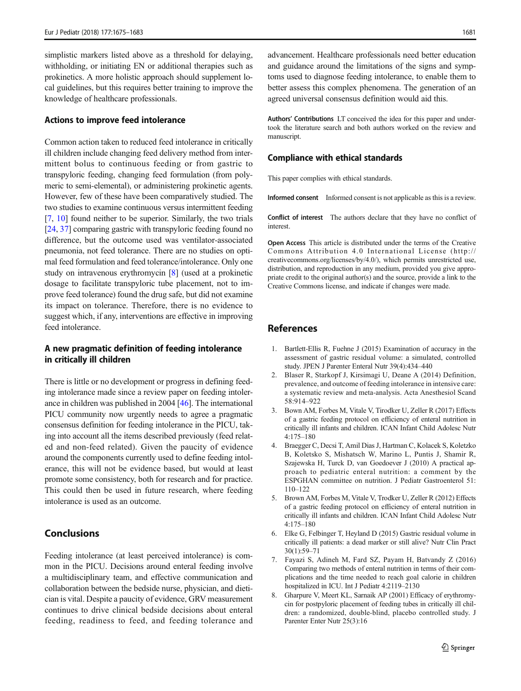<span id="page-7-0"></span>simplistic markers listed above as a threshold for delaying, withholding, or initiating EN or additional therapies such as prokinetics. A more holistic approach should supplement local guidelines, but this requires better training to improve the knowledge of healthcare professionals.

## Actions to improve feed intolerance

Common action taken to reduced feed intolerance in critically ill children include changing feed delivery method from intermittent bolus to continuous feeding or from gastric to transpyloric feeding, changing feed formulation (from polymeric to semi-elemental), or administering prokinetic agents. However, few of these have been comparatively studied. The two studies to examine continuous versus intermittent feeding [7, [10](#page-8-0)] found neither to be superior. Similarly, the two trials [\[24,](#page-8-0) [37](#page-8-0)] comparing gastric with transpyloric feeding found no difference, but the outcome used was ventilator-associated pneumonia, not feed tolerance. There are no studies on optimal feed formulation and feed tolerance/intolerance. Only one study on intravenous erythromycin [8] (used at a prokinetic dosage to facilitate transpyloric tube placement, not to improve feed tolerance) found the drug safe, but did not examine its impact on tolerance. Therefore, there is no evidence to suggest which, if any, interventions are effective in improving feed intolerance.

# A new pragmatic definition of feeding intolerance in critically ill children

There is little or no development or progress in defining feeding intolerance made since a review paper on feeding intolerance in children was published in 2004 [[46\]](#page-9-0). The international PICU community now urgently needs to agree a pragmatic consensus definition for feeding intolerance in the PICU, taking into account all the items described previously (feed related and non-feed related). Given the paucity of evidence around the components currently used to define feeding intolerance, this will not be evidence based, but would at least promote some consistency, both for research and for practice. This could then be used in future research, where feeding intolerance is used as an outcome.

# Conclusions

Feeding intolerance (at least perceived intolerance) is common in the PICU. Decisions around enteral feeding involve a multidisciplinary team, and effective communication and collaboration between the bedside nurse, physician, and dietician is vital. Despite a paucity of evidence, GRV measurement continues to drive clinical bedside decisions about enteral feeding, readiness to feed, and feeding tolerance and

advancement. Healthcare professionals need better education and guidance around the limitations of the signs and symptoms used to diagnose feeding intolerance, to enable them to better assess this complex phenomena. The generation of an agreed universal consensus definition would aid this.

Authors' Contributions LT conceived the idea for this paper and undertook the literature search and both authors worked on the review and manuscript.

#### Compliance with ethical standards

This paper complies with ethical standards.

Informed consent Informed consent is not applicable as this is a review.

Conflict of interest The authors declare that they have no conflict of interest.

Open Access This article is distributed under the terms of the Creative Commons Attribution 4.0 International License (http:// creativecommons.org/licenses/by/4.0/), which permits unrestricted use, distribution, and reproduction in any medium, provided you give appropriate credit to the original author(s) and the source, provide a link to the Creative Commons license, and indicate if changes were made.

# **References**

- 1. Bartlett-Ellis R, Fuehne J (2015) Examination of accuracy in the assessment of gastric residual volume: a simulated, controlled study. JPEN J Parenter Enteral Nutr 39(4):434–440
- 2. Blaser R, Starkopf J, Kirsimagi U, Deane A (2014) Definition, prevalence, and outcome of feeding intolerance in intensive care: a systematic review and meta-analysis. Acta Anesthesiol Scand 58:914–922
- 3. Bown AM, Forbes M, Vitale V, Tirodker U, Zeller R (2017) Effects of a gastric feeding protocol on efficiency of enteral nutrition in critically ill infants and children. ICAN Infant Child Adolesc Nutr 4:175–180
- 4. Braegger C, Decsi T, Amil Dias J, Hartman C, Kolacek S, Koletzko B, Koletsko S, Mishatsch W, Marino L, Puntis J, Shamir R, Szajewska H, Turck D, van Goedoever J (2010) A practical approach to pediatric enteral nutrition: a comment by the ESPGHAN committee on nutrition. J Pediatr Gastroenterol 51: 110–122
- 5. Brown AM, Forbes M, Vitale V, Trodker U, Zeller R (2012) Effects of a gastric feeding protocol on efficiency of enteral nutrition in critically ill infants and children. ICAN Infant Child Adolesc Nutr 4:175–180
- 6. Elke G, Felbinger T, Heyland D (2015) Gastric residual volume in critically ill patients: a dead marker or still alive? Nutr Clin Pract 30(1):59–71
- 7. Fayazi S, Adineh M, Fard SZ, Payam H, Batvandy Z (2016) Comparing two methods of enteral nutrition in terms of their complications and the time needed to reach goal calorie in children hospitalized in ICU. Int J Pediatr 4:2119–2130
- 8. Gharpure V, Meert KL, Sarnaik AP (2001) Efficacy of erythromycin for postpyloric placement of feeding tubes in critically ill children: a randomized, double-blind, placebo controlled study. J Parenter Enter Nutr 25(3):16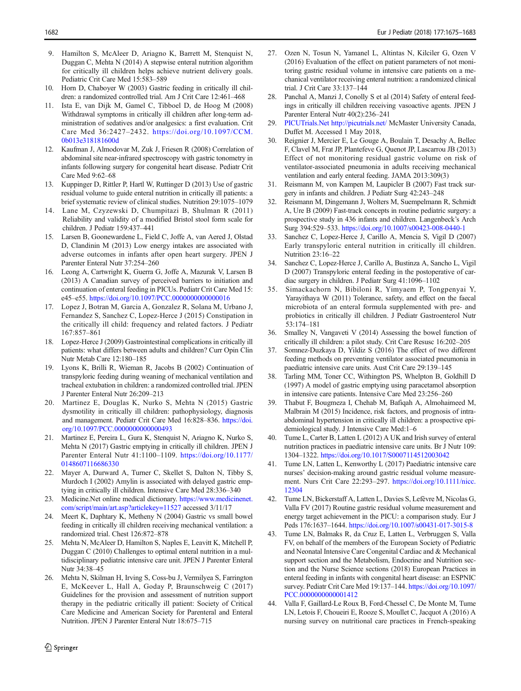- <span id="page-8-0"></span>9. Hamilton S, McAleer D, Ariagno K, Barrett M, Stenquist N, Duggan C, Mehta N (2014) A stepwise enteral nutrition algorithm for critically ill children helps achieve nutrient delivery goals. Pediatric Crit Care Med 15:583–589
- 10. Horn D, Chaboyer W (2003) Gastric feeding in critically ill children: a randomized controlled trial. Am J Crit Care 12:461–468
- 11. Ista E, van Dijk M, Gamel C, Tibboel D, de Hoog M (2008) Withdrawal symptoms in critically ill children after long-term administration of sedatives and/or analgesics: a first evaluation. Crit Care Med 36:2427–2432. [https://doi.org/10.1097/CCM.](https://doi.org/10.1097/CCM.0b013e318181600d) [0b013e318181600d](https://doi.org/10.1097/CCM.0b013e318181600d)
- Kaufman J, Almodovar M, Zuk J, Friesen R (2008) Correlation of abdominal site near-infrared spectroscopy with gastric tonometry in infants following surgery for congenital heart disease. Pediatr Crit Care Med 9:62–68
- 13. Kuppinger D, Rittler P, Hartl W, Ruttinger D (2013) Use of gastric residual volume to guide enteral nutrition in critically ill patients: a brief systematic review of clinical studies. Nutrition 29:1075–1079
- 14. Lane M, Czyzewski D, Chumpitazi B, Shulman R (2011) Reliability and validity of a modified Bristol stool form scale for children. J Pediatr 159:437–441
- 15. Larsen B, Goonewardene L, Field C, Joffe A, van Aered J, Olstad D, Clandinin M (2013) Low energy intakes are associated with adverse outcomes in infants after open heart surgery. JPEN J Parenter Enteral Nutr 37:254–260
- 16. Leong A, Cartwright K, Guerra G, Joffe A, Mazurak V, Larsen B (2013) A Canadian survey of perceived barriers to initiation and continuation of enteral feeding in PICUs. Pediatr Crit Care Med 15: e45–e55. <https://doi.org/10.1097/PCC.0000000000000016>
- 17. Lopez J, Botran M, Garcia A, Gonzalez R, Solana M, Urbano J, Fernandez S, Sanchez C, Lopez-Herce J (2015) Constipation in the critically ill child: frequency and related factors. J Pediatr 167:857–861
- 18. Lopez-Herce J (2009) Gastrointestinal complications in critically ill patients: what differs between adults and children? Curr Opin Clin Nutr Metab Care 12:180–185
- 19. Lyons K, Brilli R, Wieman R, Jacobs B (2002) Continuation of transpyloric feeding during weaning of mechanical ventilation and tracheal extubation in children: a randomized controlled trial. JPEN J Parenter Enteral Nutr 26:209–213
- 20. Martinez E, Douglas K, Nurko S, Mehta N (2015) Gastric dysmotility in critically ill children: pathophysiology, diagnosis and management. Pediatr Crit Care Med 16:828–836. [https://doi.](https://doi.org/10.1097/PCC.0000000000000493) [org/10.1097/PCC.0000000000000493](https://doi.org/10.1097/PCC.0000000000000493)
- 21. Martinez E, Pereira L, Gura K, Stenquist N, Ariagno K, Nurko S, Mehta N (2017) Gastric emptying in critically ill children. JPEN J Parenter Enteral Nutr 41:1100–1109. [https://doi.org/10.1177/](https://doi.org/10.1177/0148607116686330) [0148607116686330](https://doi.org/10.1177/0148607116686330)
- 22. Mayer A, Durward A, Turner C, Skellet S, Dalton N, Tibby S, Murdoch I (2002) Amylin is associated with delayed gastric emptying in critically ill children. Intensive Care Med 28:336–340
- 23. Medicine.Net online medical dictionary. [https://www.medicinenet.](https://www.medicinenet.com/script/main/art.asp?articlekey=11527) [com/script/main/art.asp?articlekey=11527](https://www.medicinenet.com/script/main/art.asp?articlekey=11527) accessed 3/11/17
- 24. Meert K, Daphtary K, Metheny N (2004) Gastric vs small bowel feeding in critically ill children receiving mechanical ventilation: a randomized trial. Chest 126:872–878
- 25. Mehta N, McAleer D, Hamilton S, Naples E, Leavitt K, Mitchell P, Duggan C (2010) Challenges to optimal enteral nutrition in a multidisciplinary pediatric intensive care unit. JPEN J Parenter Enteral Nutr 34:38–45
- 26. Mehta N, Skilman H, Irving S, Coss-bu J, Vermilyea S, Farrington E, McKeever L, Hall A, Goday P, Braunschweig C (2017) Guidelines for the provision and assessment of nutrition support therapy in the pediatric critically ill patient: Society of Critical Care Medicine and American Society for Parenteral and Enteral Nutrition. JPEN J Parenter Enteral Nutr 18:675–715
- 27. Ozen N, Tosun N, Yamanel L, Altintas N, Kilciler G, Ozen V (2016) Evaluation of the effect on patient parameters of not monitoring gastric residual volume in intensive care patients on a mechanical ventilator receiving enteral nutrition: a randomized clinical trial. J Crit Care 33:137–144
- 28. Panchal A, Manzi J, Conolly S et al (2014) Safety of enteral feedings in critically ill children receiving vasoactive agents. JPEN J Parenter Enteral Nutr 40(2):236–241
- 29. [PICUTrials.Net](http://picutrials.net)<http://picutrials.net/> McMaster University Canada, Duffet M. Accessed 1 May 2018,
- 30. Reignier J, Mercier E, Le Gouge A, Boulain T, Desachy A, Bellec F, Clavel M, Frat JP, Plantefeve G, Quenot JP, Lascarrou JB (2013) Effect of not monitoring residual gastric volume on risk of ventilator-associated pneumonia in adults receiving mechanical ventilation and early enteral feeding. JAMA 2013:309(3)
- 31. Reismann M, von Kampen M, Laupicler B (2007) Fast track surgery in infants and children. J Pediatr Surg 42:243–248
- 32. Reismann M, Dingemann J, Wolters M, Suempelmann R, Schmidt A, Ure B (2009) Fast-track concepts in routine pediatric surgery: a prospective study in 436 infants and children. Langenbeck's Arch Surg 394:529–533. <https://doi.org/10.1007/s00423-008-0440-1>
- Sanchez C, Lopez-Herce J, Carillo A, Mencia S, Vigil D (2007) Early transpyloric enteral nutrition in critically ill children. Nutrition 23:16–22
- 34. Sanchez C, Lopez-Herce J, Carillo A, Bustinza A, Sancho L, Vigil D (2007) Transpyloric enteral feeding in the postoperative of cardiac surgery in children. J Pediatr Surg 41:1096–1102
- 35. Simackachorn N, Bibiloni R, Yimyaem P, Tongpenyai Y, Yarayithaya W (2011) Tolerance, safety, and effect on the faecal microbiota of an enteral formula supplemented with pre- and probiotics in critically ill children. J Pediatr Gastroenterol Nutr 53:174–181
- 36. Smalley N, Vangaveti V (2014) Assessing the bowel function of critically ill children: a pilot study. Crit Care Resusc 16:202–205
- 37. Somnez-Duzkaya D, Yildiz S (2016) The effect of two different feeding methods on preventing ventilator associated pneumonia in paediatric intensive care units. Aust Crit Care 29:139–145
- 38. Tarling MM, Toner CC, Withington PS, Whelpton B, Goldhill D (1997) A model of gastric emptying using paracetamol absorption in intensive care patients. Intensive Care Med 23:256–260
- 39. Thabut F, Bougmeza I, Chehab M, Bafiqah A, Almohaimeed M, Malbrain M (2015) Incidence, risk factors, and prognosis of intraabdominal hypertension in critically ill children: a prospective epidemiological study. J Intensive Care Med:1–6
- 40. Tume L, Carter B, Latten L (2012) A UK and Irish survey of enteral nutrition practices in paediatric intensive care units. Br J Nutr 109: 1304–1322. <https://doi.org/10.1017/S0007114512003042>
- 41. Tume LN, Latten L, Kenworthy L (2017) Paediatric intensive care nurses' decision-making around gastric residual volume measurement. Nurs Crit Care 22:293–297. [https://doi.org/10.1111/nicc.](https://doi.org/10.1111/nicc.12304) [12304](https://doi.org/10.1111/nicc.12304)
- 42. Tume LN, Bickerstaff A, Latten L, Davies S, Lefèvre M, Nicolas G, Valla FV (2017) Routine gastric residual volume measurement and energy target achievement in the PICU: a comparison study. Eur J Peds 176:1637–1644. <https://doi.org/10.1007/s00431-017-3015-8>
- 43. Tume LN, Balmaks R, da Cruz E, Latten L, Verbruggen S, Valla FV, on behalf of the members of the European Society of Pediatric and Neonatal Intensive Care Congenital Cardiac and & Mechanical support section and the Metabolism, Endocrine and Nutrition section and the Nurse Science sections (2018) European Practices in enteral feeding in infants with congenital heart disease: an ESPNIC survey. Pediatr Crit Care Med 19:137–144. [https://doi.org/10.1097/](https://doi.org/10.1097/PCC.0000000000001412) [PCC.0000000000001412](https://doi.org/10.1097/PCC.0000000000001412)
- 44. Valla F, Gaillard-Le Roux B, Ford-Chessel C, De Monte M, Tume LN, Letois F, Choueiri E, Rooze S, Moullet C, Jacquot A (2016) A nursing survey on nutritional care practices in French-speaking